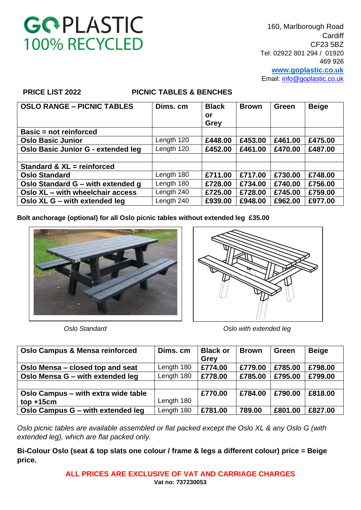160, Marlborough Road **Cardiff** CF23 5BZ Tel: 02922 801 294 / 01920 469 926 **[www.goplastic.co.uk](http://www.goplastic.co.uk/)** Email: [info@goplastic.co.uk](mailto:info@goplastic.co.uk)

### **PRICE LIST 2022 PICNIC TABLES & BENCHES**

| <b>OSLO RANGE - PICNIC TABLES</b>  | Dims, cm   | <b>Black</b><br>or<br>Grey | <b>Brown</b> | <b>Green</b> | <b>Beige</b> |
|------------------------------------|------------|----------------------------|--------------|--------------|--------------|
| Basic = not reinforced             |            |                            |              |              |              |
| <b>Oslo Basic Junior</b>           | Length 120 | £448.00                    | £453.00      | £461.00      | £475.00      |
| Oslo Basic Junior G - extended leg | Length 120 | £452.00                    | £461.00      | £470.00      | £487.00      |
|                                    |            |                            |              |              |              |
| Standard & XL = reinforced         |            |                            |              |              |              |
| <b>Oslo Standard</b>               | Length 180 | £711.00                    | £717.00      | £730.00      | £748.00      |
| Oslo Standard G – with extended g  | Length 180 | £728.00                    | £734.00      | £740.00      | £756.00      |
| Oslo XL - with wheelchair access   | Length 240 | £725.00                    | £728.00      | £745.00      | £759.00      |
| Oslo XL G – with extended leg      | Length 240 | £939.00                    | £948.00      | £962.00      | £977.00      |

**Bolt anchorage (optional) for all Oslo picnic tables without extended leg £35.00**





*Oslo Standard Oslo with extended leg*

| <b>Oslo Campus &amp; Mensa reinforced</b> | Dims, cm   | <b>Black or</b><br>Grey | <b>Brown</b> | <b>Green</b> | <b>Beige</b> |
|-------------------------------------------|------------|-------------------------|--------------|--------------|--------------|
| Oslo Mensa - closed top and seat          | Length 180 | £774.00                 | £779.00      | £785.00      | £798.00      |
| Oslo Mensa G - with extended leg          | Length 180 | £778.00                 | £785.00      | £795.00      | £799.00      |
|                                           |            |                         |              |              |              |
| Oslo Campus – with extra wide table       |            | £770.00                 | £784.00      | £790.00      | £818.00      |
| $top + 15cm$                              | Length 180 |                         |              |              |              |
| Oslo Campus G - with extended leg         | Length 180 | £781.00                 | 789.00       | £801.00      | £827.00      |

*Oslo picnic tables are available assembled or flat packed except the Oslo XL & any Oslo G (with extended leg), which are flat packed only.*

**Bi-Colour Oslo (seat & top slats one colour / frame & legs a different colour) price = Beige price.**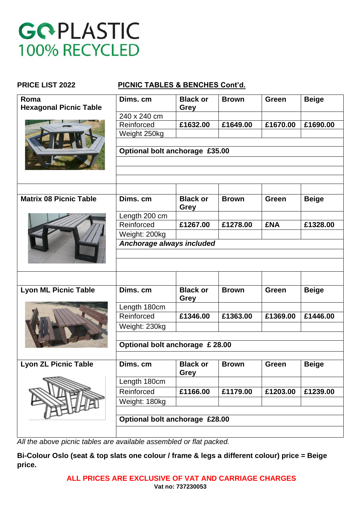### **PRICE LIST 2022 PICNIC TABLES & BENCHES Cont'd.**

| Roma                          | Dims. cm                        | <b>Black or</b> | <b>Brown</b> | <b>Green</b> | <b>Beige</b> |  |  |
|-------------------------------|---------------------------------|-----------------|--------------|--------------|--------------|--|--|
| <b>Hexagonal Picnic Table</b> |                                 | Grey            |              |              |              |  |  |
|                               | 240 x 240 cm<br>Reinforced      |                 |              |              | £1690.00     |  |  |
|                               |                                 | £1632.00        | £1649.00     | £1670.00     |              |  |  |
|                               | Weight 250kg                    |                 |              |              |              |  |  |
|                               | Optional bolt anchorage £35.00  |                 |              |              |              |  |  |
|                               |                                 |                 |              |              |              |  |  |
|                               |                                 |                 |              |              |              |  |  |
|                               |                                 |                 |              |              |              |  |  |
|                               |                                 |                 |              |              |              |  |  |
| <b>Matrix 08 Picnic Table</b> | Dims. cm                        | <b>Black or</b> | <b>Brown</b> | <b>Green</b> | <b>Beige</b> |  |  |
|                               |                                 | <b>Grey</b>     |              |              |              |  |  |
|                               | Length 200 cm                   |                 |              |              |              |  |  |
|                               | Reinforced                      | £1267.00        | £1278.00     | <b>£NA</b>   | £1328.00     |  |  |
|                               | Weight: 200kg                   |                 |              |              |              |  |  |
|                               | Anchorage always included       |                 |              |              |              |  |  |
|                               |                                 |                 |              |              |              |  |  |
|                               |                                 |                 |              |              |              |  |  |
|                               |                                 |                 |              |              |              |  |  |
|                               |                                 |                 |              |              |              |  |  |
| <b>Lyon ML Picnic Table</b>   | Dims, cm                        | <b>Black or</b> | <b>Brown</b> | Green        | <b>Beige</b> |  |  |
|                               |                                 | <b>Grey</b>     |              |              |              |  |  |
|                               | Length 180cm                    |                 |              |              |              |  |  |
|                               | Reinforced                      | £1346.00        | £1363.00     | £1369.00     | £1446.00     |  |  |
|                               | Weight: 230kg                   |                 |              |              |              |  |  |
|                               |                                 |                 |              |              |              |  |  |
|                               | Optional bolt anchorage £ 28.00 |                 |              |              |              |  |  |
|                               |                                 |                 |              |              |              |  |  |
| <b>Lyon ZL Picnic Table</b>   | Dims. cm                        | <b>Black or</b> | <b>Brown</b> | Green        | <b>Beige</b> |  |  |
|                               |                                 | <b>Grey</b>     |              |              |              |  |  |
|                               | Length 180cm                    |                 |              |              |              |  |  |
|                               | Reinforced                      | £1166.00        | £1179.00     | £1203.00     | £1239.00     |  |  |
|                               | Weight: 180kg                   |                 |              |              |              |  |  |
|                               |                                 |                 |              |              |              |  |  |
|                               | Optional bolt anchorage £28.00  |                 |              |              |              |  |  |
|                               |                                 |                 |              |              |              |  |  |
|                               |                                 |                 |              |              |              |  |  |

*All the above picnic tables are available assembled or flat packed.*

**Bi-Colour Oslo (seat & top slats one colour / frame & legs a different colour) price = Beige price.**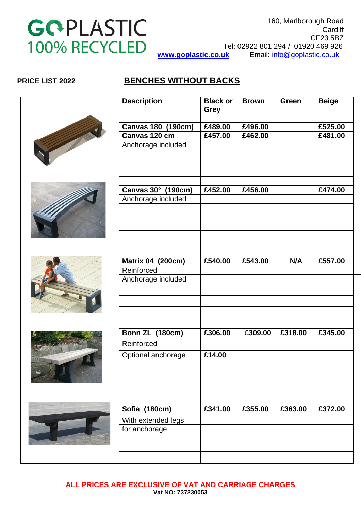

### **PRICE LIST 2022 BENCHES WITHOUT BACKS**

| <b>Description</b>        | <b>Black or</b><br><b>Grey</b> | <b>Brown</b> | <b>Green</b> | <b>Beige</b> |
|---------------------------|--------------------------------|--------------|--------------|--------------|
|                           |                                |              |              |              |
| <b>Canvas 180 (190cm)</b> | £489.00                        | £496.00      |              | £525.00      |
| Canvas 120 cm             | £457.00                        | £462.00      |              | £481.00      |
| Anchorage included        |                                |              |              |              |
|                           |                                |              |              |              |
|                           |                                |              |              |              |
|                           |                                |              |              |              |
|                           |                                |              |              |              |
| Canvas 30° (190cm)        | £452.00                        | £456.00      |              | £474.00      |
| Anchorage included        |                                |              |              |              |
|                           |                                |              |              |              |
|                           |                                |              |              |              |
|                           |                                |              |              |              |
|                           |                                |              |              |              |
|                           |                                |              |              |              |
| Matrix 04 (200cm)         | £540.00                        | £543.00      | N/A          | £557.00      |
| Reinforced                |                                |              |              |              |
| Anchorage included        |                                |              |              |              |
|                           |                                |              |              |              |
|                           |                                |              |              |              |
|                           |                                |              |              |              |
|                           |                                |              |              |              |
| Bonn ZL (180cm)           | £306.00                        | £309.00      | £318.00      | £345.00      |
| Reinforced                |                                |              |              |              |
| Optional anchorage        | £14.00                         |              |              |              |
|                           |                                |              |              |              |
|                           |                                |              |              |              |
|                           |                                |              |              |              |
|                           |                                |              |              |              |
| Sofia (180cm)             | £341.00                        | £355.00      | £363.00      | £372.00      |
| With extended legs        |                                |              |              |              |
| for anchorage             |                                |              |              |              |
|                           |                                |              |              |              |
|                           |                                |              |              |              |
|                           |                                |              |              |              |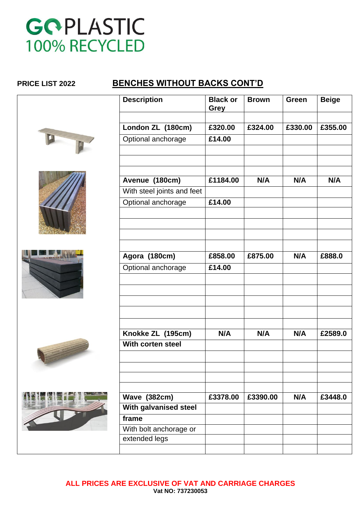### **PRICE LIST 2022 BENCHES WITHOUT BACKS CONT'D**





I



| <b>Description</b>         | <b>Black or</b><br>Grey | <b>Brown</b> | Green   | <b>Beige</b> |
|----------------------------|-------------------------|--------------|---------|--------------|
| London ZL (180cm)          | £320.00                 | £324.00      | £330.00 | £355.00      |
| Optional anchorage         | £14.00                  |              |         |              |
|                            |                         |              |         |              |
| Avenue (180cm)             | £1184.00                | N/A          | N/A     | N/A          |
| With steel joints and feet |                         |              |         |              |
| Optional anchorage         | £14.00                  |              |         |              |
|                            |                         |              |         |              |
| Agora (180cm)              | £858.00                 | £875.00      | N/A     | £888.0       |
| Optional anchorage         | £14.00                  |              |         |              |
|                            |                         |              |         |              |
| Knokke ZL (195cm)          | N/A                     | N/A          | N/A     | £2589.0      |
| With corten steel          |                         |              |         |              |
|                            |                         |              |         |              |
| <b>Wave (382cm)</b>        | £3378.00                | £3390.00     | N/A     | £3448.0      |
| With galvanised steel      |                         |              |         |              |
| frame                      |                         |              |         |              |
| With bolt anchorage or     |                         |              |         |              |
| extended legs              |                         |              |         |              |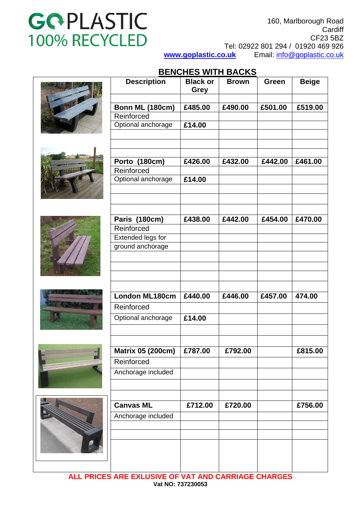160, Marlborough Road **Cardiff** CF23 5BZ Tel: 02922 801 294 / 01920 469 926 **[www.goplastic.co.uk](http://www.goplastic.co.uk/)** Email: [info@goplastic.co.uk](mailto:info@goplastic.co.uk) 

### **BENCHES WITH BACKS**

|   | <b>Description</b>       | <b>Black or</b><br><b>Grey</b> | <b>Brown</b> | Green   | <b>Beige</b> |
|---|--------------------------|--------------------------------|--------------|---------|--------------|
|   |                          |                                |              |         |              |
|   | Bonn ML (180cm)          | £485.00                        | £490.00      | £501.00 | £519.00      |
|   | Reinforced               |                                |              |         |              |
|   | Optional anchorage       | £14.00                         |              |         |              |
|   |                          |                                |              |         |              |
|   |                          |                                |              |         |              |
|   | Porto (180cm)            | £426.00                        | £432.00      | £442.00 | £461.00      |
|   | Reinforced               |                                |              |         |              |
|   | Optional anchorage       | £14.00                         |              |         |              |
|   |                          |                                |              |         |              |
|   |                          |                                |              |         |              |
|   |                          |                                |              |         |              |
|   | Paris (180cm)            | £438.00                        | £442.00      | £454.00 | £470.00      |
|   | Reinforced               |                                |              |         |              |
|   | Extended legs for        |                                |              |         |              |
|   | ground anchorage         |                                |              |         |              |
|   |                          |                                |              |         |              |
|   |                          |                                |              |         |              |
|   |                          |                                |              |         |              |
|   |                          |                                |              |         |              |
|   | London ML180cm           | £440.00                        | £446.00      | £457.00 | 474.00       |
|   | Reinforced               |                                |              |         |              |
|   | Optional anchorage       | £14.00                         |              |         |              |
|   |                          |                                |              |         |              |
|   |                          |                                |              |         |              |
|   | <b>Matrix 05 (200cm)</b> | £787.00                        | £792.00      |         | £815.00      |
|   | Reinforced               |                                |              |         |              |
|   | Anchorage included       |                                |              |         |              |
|   |                          |                                |              |         |              |
|   |                          |                                |              |         |              |
|   | <b>Canvas ML</b>         | £712.00                        | £720.00      |         | £756.00      |
| N | Anchorage included       |                                |              |         |              |
|   |                          |                                |              |         |              |
|   |                          |                                |              |         |              |
|   |                          |                                |              |         |              |
|   |                          |                                |              |         |              |
|   |                          |                                |              |         |              |

**ALL PRICES ARE EXLUSIVE OF VAT AND CARRIAGE CHARGES Vat NO: 737230053**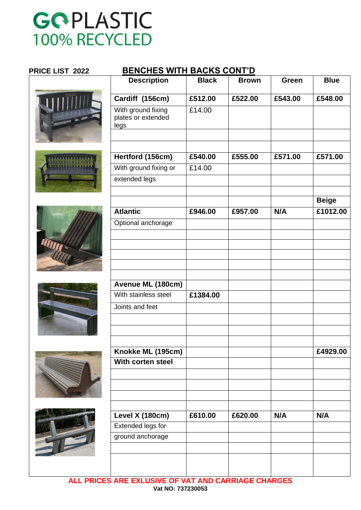### **PRICE LIST 2022 BENCHES WITH BACKS CONT'D**













| <b>Description</b>                               | <b>Black</b> | <b>Brown</b> | Green   | <b>Blue</b>  |
|--------------------------------------------------|--------------|--------------|---------|--------------|
| Cardiff (156cm)                                  | £512.00      | £522.00      | £543.00 | £548.00      |
| With ground fixing<br>plates or extended<br>legs | £14.00       |              |         |              |
|                                                  |              |              |         |              |
| Hertford (156cm)                                 | £540.00      | £555.00      | £571.00 | £571.00      |
| With ground fixing or                            | £14.00       |              |         |              |
| extended legs                                    |              |              |         |              |
|                                                  |              |              |         | <b>Beige</b> |
| <b>Atlantic</b>                                  | £946.00      | £957.00      | N/A     | £1012.00     |
| Optional anchorage                               |              |              |         |              |
|                                                  |              |              |         |              |
|                                                  |              |              |         |              |
|                                                  |              |              |         |              |
| Avenue ML (180cm)                                |              |              |         |              |
| With stainless steel                             | £1384.00     |              |         |              |
| Joints and feet                                  |              |              |         |              |
|                                                  |              |              |         |              |
|                                                  |              |              |         |              |
| Knokke ML (195cm)                                |              |              |         | £4929.00     |
| With corten steel                                |              |              |         |              |
|                                                  |              |              |         |              |
|                                                  |              |              |         |              |
| Level X (180cm)                                  | £610.00      | £620.00      | N/A     | N/A          |
| <b>Extended legs for</b>                         |              |              |         |              |
| ground anchorage                                 |              |              |         |              |
|                                                  |              |              |         |              |
|                                                  |              |              |         |              |

**ALL PRICES ARE EXLUSIVE OF VAT AND CARRIAGE CHARGES Vat NO: 737230053**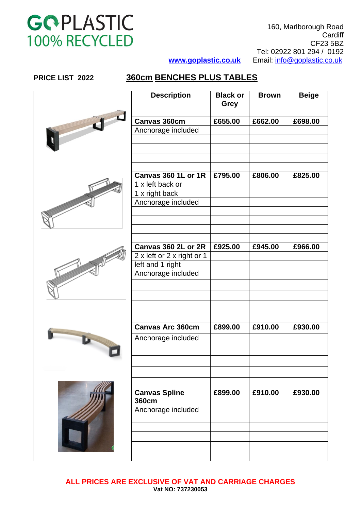160, Marlborough Road **Cardiff** CF23 5BZ Tel: 02922 801 294 / 0192 **[www.goplastic.co.uk](http://www.goplastic.co.uk/)** Email: [info@goplastic.co.uk](mailto:info@goplastic.co.uk)

| PRICE LIST 2022 |  |  |
|-----------------|--|--|
|-----------------|--|--|

### **PRICE LIST 2022 360cm BENCHES PLUS TABLES**

| <b>Description</b>                   | <b>Black or</b><br><b>Grey</b> | <b>Brown</b> | <b>Beige</b> |
|--------------------------------------|--------------------------------|--------------|--------------|
|                                      |                                |              |              |
| Canvas 360cm                         | £655.00                        | £662.00      | £698.00      |
| Anchorage included                   |                                |              |              |
|                                      |                                |              |              |
|                                      |                                |              |              |
|                                      |                                |              |              |
|                                      |                                |              |              |
| Canvas 360 1L or 1R                  | £795.00                        | £806.00      | £825.00      |
| 1 x left back or                     |                                |              |              |
| 1 x right back                       |                                |              |              |
| Anchorage included                   |                                |              |              |
|                                      |                                |              |              |
|                                      |                                |              |              |
|                                      |                                |              |              |
|                                      |                                |              |              |
| Canvas 360 2L or 2R                  | £925.00                        | £945.00      | £966.00      |
| 2 x left or 2 x right or 1           |                                |              |              |
| left and 1 right                     |                                |              |              |
| Anchorage included                   |                                |              |              |
|                                      |                                |              |              |
|                                      |                                |              |              |
|                                      |                                |              |              |
|                                      |                                |              |              |
| <b>Canvas Arc 360cm</b>              | £899.00                        | £910.00      | £930.00      |
|                                      |                                |              |              |
| Anchorage included                   |                                |              |              |
|                                      |                                |              |              |
|                                      |                                |              |              |
|                                      |                                |              |              |
|                                      |                                |              |              |
|                                      |                                |              |              |
| <b>Canvas Spline</b><br><b>360cm</b> | £899.00                        | £910.00      | £930.00      |
| Anchorage included                   |                                |              |              |
|                                      |                                |              |              |
|                                      |                                |              |              |
|                                      |                                |              |              |
|                                      |                                |              |              |
|                                      |                                |              |              |
|                                      |                                |              |              |